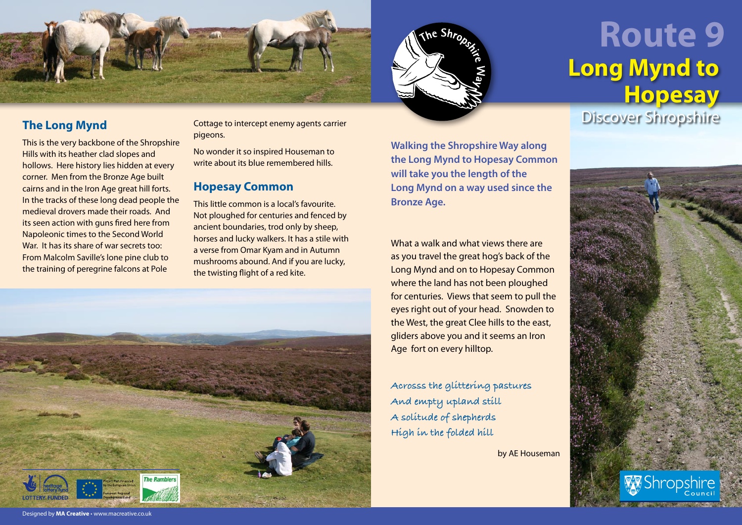

## **The Long Mynd**

This is the very backbone of the Shropshire Hills with its heather clad slopes and hollows. Here history lies hidden at every corner. Men from the Bronze Age built cairns and in the Iron Age great hill forts. In the tracks of these long dead people the medieval drovers made their roads. And its seen action with guns fired here from Napoleonic times to the Second World War. It has its share of war secrets too: From Malcolm Saville's lone pine club to the training of peregrine falcons at Pole

Cottage to intercept enemy agents carrier pigeons.

No wonder it so inspired Houseman to write about its blue remembered hills.

## **Hopesay Common**

This little common is a local's favourite. Not ploughed for centuries and fenced by ancient boundaries, trod only by sheep, horses and lucky walkers. It has a stile with a verse from Omar Kyam and in Autumn mushrooms abound. And if you are lucky, the twisting flight of a red kite.



**Walking the Shropshire Way along the Long Mynd to Hopesay Common will take you the length of the Long Mynd on a way used since the Bronze Age.** 

What a walk and what views there are as you travel the great hog's back of the Long Mynd and on to Hopesay Common where the land has not been ploughed for centuries. Views that seem to pull the eyes right out of your head. Snowden to the West, the great Clee hills to the east, gliders above you and it seems an Iron Age fort on every hilltop.

**Acrosss the glittering pastures And empty upland still A solitude of shepherds High in the folded hill** 

by AE Houseman

## **Route 9 Long Mynd to Hopesay**

Discover Shropshire